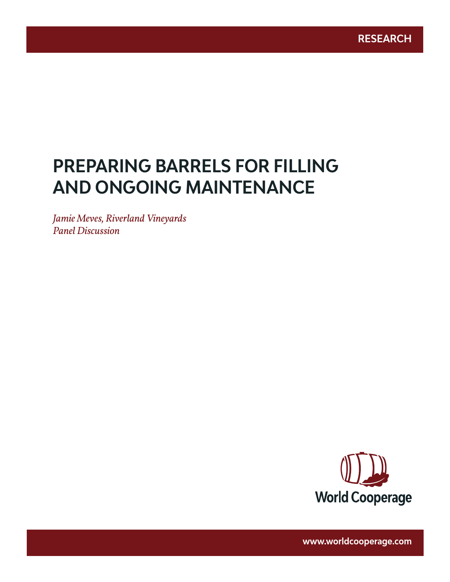# **PREPARING BARRELS FOR FILLING AND ONGOING MAINTENANCE**

www.worldcooperage.com *Preparing Barrels for Filling and Ongoing Maintenance* **1** 

*Jamie Meves, Riverland Vineyards Panel Discussion*



**www.worldcooperage.com**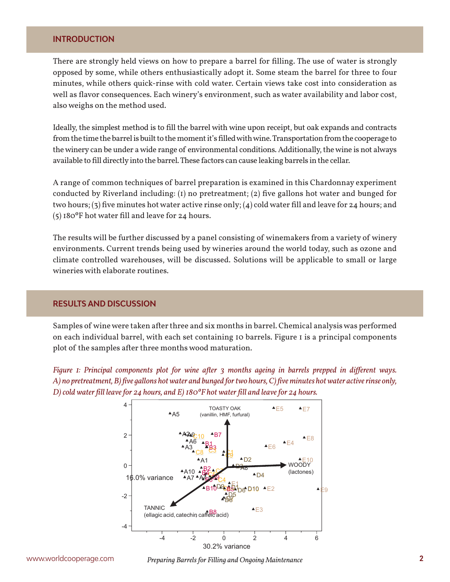#### **INTRODUCTION**

There are strongly held views on how to prepare a barrel for filling. The use of water is strongly opposed by some, while others enthusiastically adopt it. Some steam the barrel for three to four minutes, while others quick-rinse with cold water. Certain views take cost into consideration as well as flavor consequences. Each winery's environment, such as water availability and labor cost, also weighs on the method used.

Ideally, the simplest method is to fill the barrel with wine upon receipt, but oak expands and contracts from the time the barrel is built to the moment it's filled with wine. Transportation from the cooperage to the winery can be under a wide range of environmental conditions. Additionally, the wine is not always available to fill directly into the barrel. These factors can cause leaking barrels in the cellar.

A range of common techniques of barrel preparation is examined in this Chardonnay experiment conducted by Riverland including: (1) no pretreatment; (2) five gallons hot water and bunged for two hours; (3) five minutes hot water active rinse only; (4) cold water fill and leave for 24 hours; and (5) 180ºF hot water fill and leave for 24 hours.

The results will be further discussed by a panel consisting of winemakers from a variety of winery environments. Current trends being used by wineries around the world today, such as ozone and climate controlled warehouses, will be discussed. Solutions will be applicable to small or large wineries with elaborate routines.

### **RESULTS AND DISCUSSION**

Samples of wine were taken after three and six months in barrel. Chemical analysis was performed on each individual barrel, with each set containing 10 barrels. Figure 1 is a principal components plot of the samples after three months wood maturation.

*Figure 1: Principal components plot for wine after 3 months ageing in barrels prepped in different ways. A) no pretreatment, B) five gallons hot water and bunged for two hours, C) five minutes hot water active rinse only, D) cold water fill leave for 24 hours, and E) 180ºF hot water fill and leave for 24 hours.*